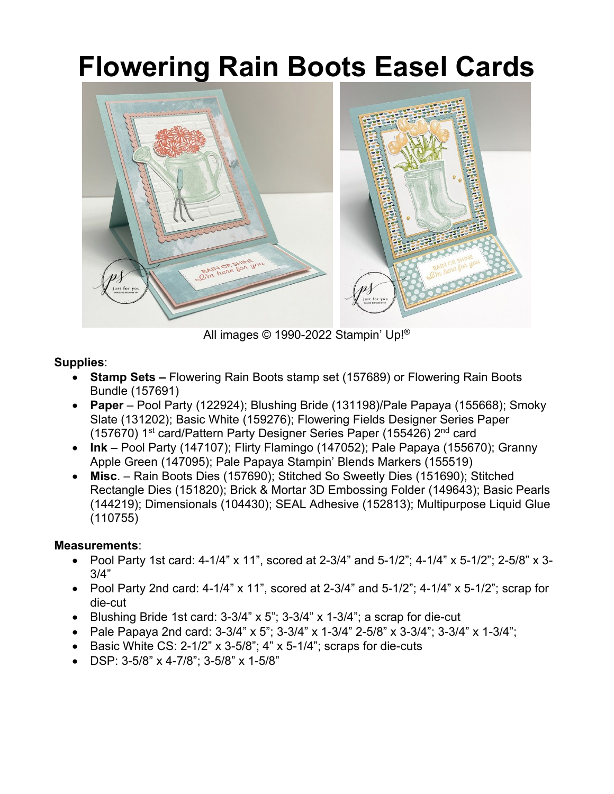## **Flowering Rain Boots Easel Cards**



All images © 1990-2022 Stampin' Up!®

## **Supplies**:

- **Stamp Sets** *–* Flowering Rain Boots stamp set (157689) or Flowering Rain Boots Bundle (157691)
- **Paper** Pool Party (122924); Blushing Bride (131198)/Pale Papaya (155668); Smoky Slate (131202); Basic White (159276); Flowering Fields Designer Series Paper (157670) 1<sup>st</sup> card/Pattern Party Designer Series Paper (155426) 2<sup>nd</sup> card
- **Ink** Pool Party (147107); Flirty Flamingo (147052); Pale Papaya (155670); Granny Apple Green (147095); Pale Papaya Stampin' Blends Markers (155519)
- **Misc**. Rain Boots Dies (157690); Stitched So Sweetly Dies (151690); Stitched Rectangle Dies (151820); Brick & Mortar 3D Embossing Folder (149643); Basic Pearls (144219); Dimensionals (104430); SEAL Adhesive (152813); Multipurpose Liquid Glue (110755)

## **Measurements**:

- Pool Party 1st card: 4-1/4" x 11", scored at 2-3/4" and 5-1/2"; 4-1/4" x 5-1/2"; 2-5/8" x 3-3/4"
- Pool Party 2nd card: 4-1/4" x 11", scored at  $2-3/4$ " and  $5-1/2$ "; 4-1/4" x  $5-1/2$ "; scrap for die-cut
- Blushing Bride 1st card: 3-3/4" x 5"; 3-3/4" x 1-3/4"; a scrap for die-cut
- Pale Papaya 2nd card:  $3-3/4$ " x 5";  $3-3/4$ " x  $1-3/4$ "  $2-5/8$ " x  $3-3/4$ ";  $3-3/4$ " x  $1-3/4$ ";
- Basic White CS:  $2-1/2$ " x  $3-5/8$ "; 4" x  $5-1/4$ "; scraps for die-cuts
- DSP: 3-5/8" x 4-7/8"; 3-5/8" x 1-5/8"